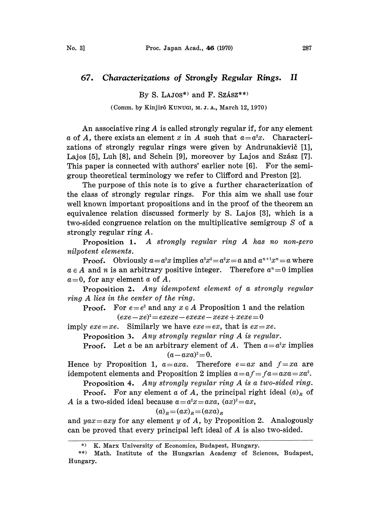## 67. Characterizations of Strongly Regular Rings. II

By S. LAJ0 $S^*$  and F. Szász $*$ )

(Comm. by Kinjirô KUNUGI, M. J. A., March 12, 1970)

An associative ring A is called strongly regular if, for any element a of A, there exists an element x in A such that  $a=a^2x$ . Characterizations of strongly regular rings were given by Andrunakievič [1], Lajos [5], Luh [8], and Schein [9], moreover by Lajos and Szász [7]. This paper is connected with authors' earlier note [6]. For the semigroup theoretical terminology we refer to Clifford and Preston [2].

The purpose of this note is to give a further characterization of the class of strongly regular rings. For this aim we shall use four well known important propositions and in the proof of the theorem an equivalence relation discussed formerly by S. Lajos [3], which is a two-sided congruence relation on the multiplicative semigroup S of a strongly regular ring A.

**Proposition 1.** A strongly regular ring A has no non-zero nilpotent elements.

**Proof.** Obviously  $a = a^2x$  implies  $a^3x^2 = a^2x = a$  and  $a^{n+1}x^n = a$  where  $a \in A$  and n is an arbitrary positive integer. Therefore  $a^n = 0$  implies  $a=0$ , for any element a of A.

Proposition 2. Any idempotent element of a strongly regular ring A lies in the center of the ring.

**Proof.** For  $e=e^2$  and any  $x \in A$  Proposition 1 and the relation  $(exe-xe)^{2}=exexe-exexe-xexe+xexe = 0$ 

imply  $exe = xe$ . Similarly we have  $exe = ex$ , that is  $ex = xe$ .

Proposition 3. Any strongly regular ring A is regular.

**Proof.** Let a be an arbitrary element of A. Then  $a=a^2x$  implies  $(a - axa)^{2} = 0.$ 

Hence by Proposition 1,  $a = axa$ . Therefore  $e = ax$  and  $f = xa$  are idempotent elements and Proposition 2 implies  $a=a f=f a=axa=xa^2$ .

Proposition 4. Any strongly regular ring A is a two-sided ring.

**Proof.** For any element a of A, the principal right ideal  $(a)_R$  of A is a two-sided ideal because  $a=a^2x=axa$ ,  $(ax)^2=ax$ ,

$$
(a)R = (ax)R = (axa)R
$$

and yax=axy for any element y of A, by Proposition 2. Analogously can be proved that every principal left ideal of A is also two-sided.

K. Marx University of Economics, Budapest, Hungary.

<sup>\*\*)</sup> Math. Institute of the Hungarian Academy of Sciences, Budapest, Hungary.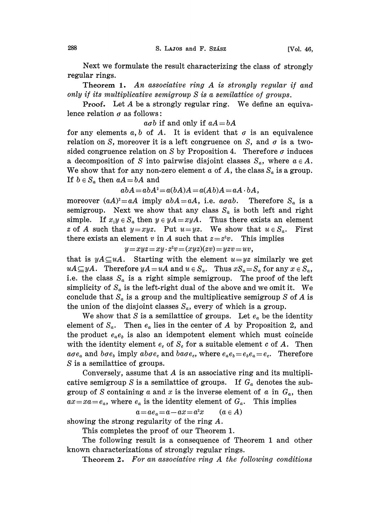Next we formulate the result characterizing the class of strongly regular rings.

Theorem 1. An associative ring A is strongly regular if and only if its multiplicative semigroup S is a semilatice of groups.

Proof. Let A be <sup>a</sup> strongly regular ring. We define an equivalence relation  $\sigma$  as follows:

 $a\sigma b$  if and only if  $aA = bA$ 

for any elements  $a, b$  of A. It is evident that  $\sigma$  is an equivalence relation on S, moreover it is a left congruence on S, and  $\sigma$  is a twosided congruence relation on S by Proposition 4. Therefore  $\sigma$  induces a decomposition of S into pairwise disjoint classes  $S_a$ , where  $a \in A$ . We show that for any non-zero element  $\alpha$  of  $A$ , the class  $S_{\alpha}$  is a group. If  $b \in S_a$  then  $aA = bA$  and

$$
abA = abA^2 = a(bA)A = a(Ab)A = aA \cdot bA,
$$

moreover  $(aA)^2=aA$  imply  $abA=aA$ , i.e.  $a\sigma ab$ . Therefore  $S_a$  is a semigroup. Next we show that any class  $S_a$  is both left and right simple. If  $x_1y \in S_a$  then  $y \in yA = xyA$ . Thus there exists an element z of A such that  $y=xyz$ . Put  $u=yz$ . We show that  $u \in S_a$ . First there exists an element v in A such that  $z=z^2v$ . This implies

 $y=xyz=xy\cdot z^2v=(xyz)(zv)=yzv=uv,$ 

that is  $yA \subseteq uA$ . Starting with the element  $u=yz$  similarly we get  $uA\subseteq yA$ . Therefore  $yA=uA$  and  $u\in S_a$ . Thus  $xS_a=S_a$  for any  $x\in S_a$ , i.e. the class  $S_a$  is a right simple semigroup. The proof of the left simplicity of  $S_a$  is the left-right dual of the above and we omit it. We conclude that  $S_a$  is a group and the multiplicative semigroup S of A is the union of the disjoint classes  $S_a$ , every of which is a group.

We show that S is a semilattice of groups. Let  $e_a$  be the identity element of  $S_a$ . Then  $e_a$  lies in the center of A by Proposition 2, and the product  $e_a e_b$  is also an idempotent element which must coincide with the identity element  $e_c$  of  $S_c$  for a suitable element c of A. Then  $a\sigma e_a$  and  $b\sigma e_b$  imply  $ab\sigma e_c$  and  $ba\sigma e_c$ , where  $e_a e_b = e_b e_a = e_c$ . Therefore S is a semilattice of groups.

Conversely, assume that  $A$  is an associative ring and its multiplicative semigroup S is a semilattice of groups. If  $G_a$  denotes the subgroup of S containing a and x is the inverse element of a in  $G_a$ , then  $ax = xa = e_a$ , where  $e_a$  is the identity element of  $G_a$ . This implies

$$
a = ae_a = a - ax = a^2x \qquad (a \in A)
$$

showing the strong regularity of the ring A.

This completes the proof of our Theorem 1.

The following result is a consequence of Theorem 1 and other known characterizations of strongly regular rings.

Theorem 2. For an associative ring A the following conditions